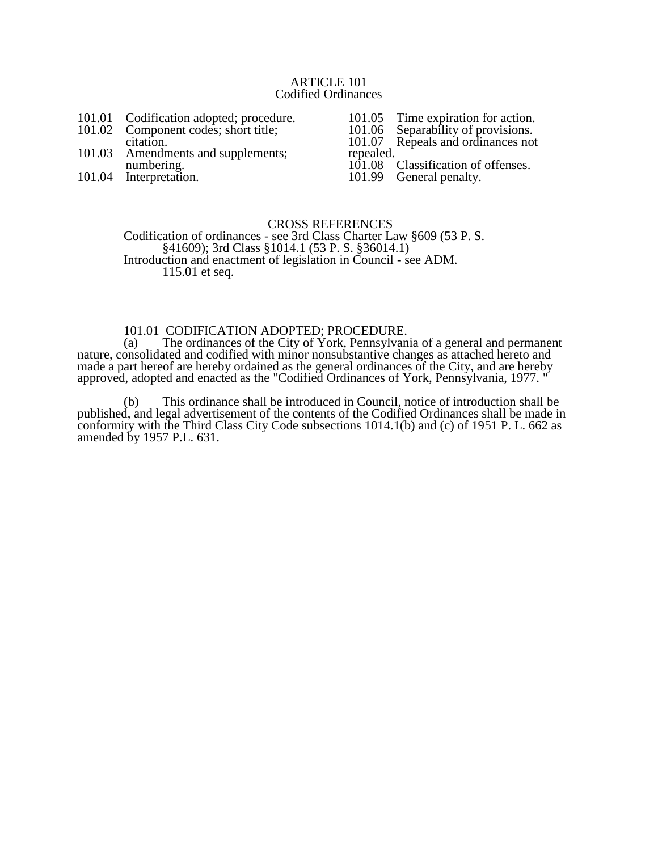#### ARTICLE 101 Codified Ordinances

- 101.01 Codification adopted; procedure.<br>101.02 Component codes; short title:
- Component codes; short title; citation.
- 101.03 Amendments and supplements; numbering.
- 101.04 Interpretation.

101.05 Time expiration for action.<br>101.06 Separability of provisions.

101.06 Separability of provisions.

101.07 Repeals and ordinances not repealed.<br>101.08

101.08 Classification of offenses.<br>101.99 General penalty.

General penalty.

#### CROSS REFERENCES Codification of ordinances - see 3rd Class Charter Law §609 (53 P. S. §41609); 3rd Class §1014.1 (53 P. S. §36014.1) Introduction and enactment of legislation in Council - see ADM. 115.01 et seq.

# 101.01 CODIFICATION ADOPTED; PROCEDURE.

(a) The ordinances of the City of York, Pennsylvania of a general and permanent nature, consolidated and codified with minor nonsubstantive changes as attached hereto and made a part hereof are hereby ordained as the general ordinances of the City, and are hereby approved, adopted and enacted as the "Codified Ordinances of York, Pennsylvania, 1977. "

(b) This ordinance shall be introduced in Council, notice of introduction shall be published, and legal advertisement of the contents of the Codified Ordinances shall be made in conformity with the Third Class City Code subsections 1014.1(b) and (c) of 1951 P. L. 662 as amended by 1957 P.L. 631.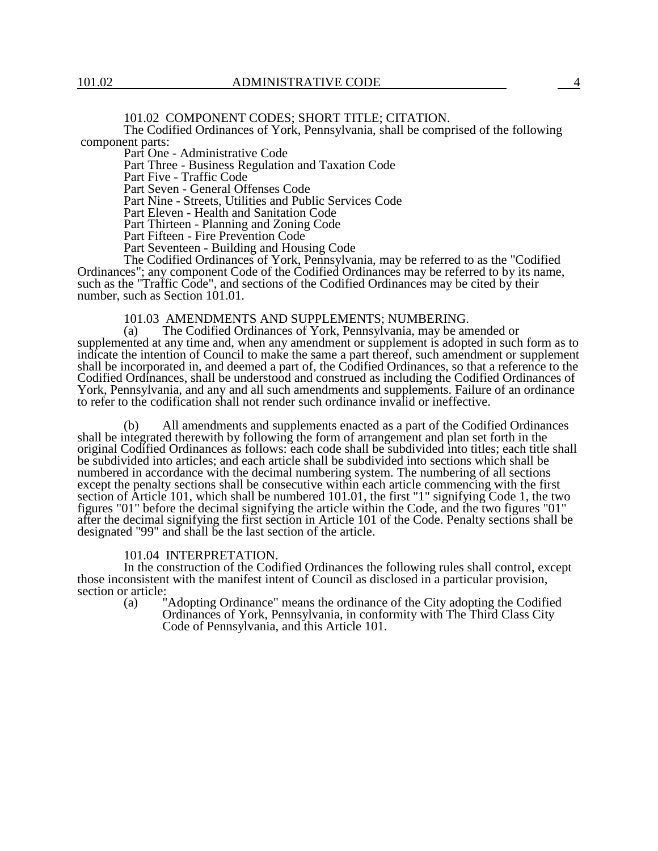101.02 COMPONENT CODES; SHORT TITLE; CITATION.

The Codified Ordinances of York, Pennsylvania, shall be comprised of the following component parts:

Part One - Administrative Code

Part Three - Business Regulation and Taxation Code

Part Five - Traffic Code

Part Seven - General Offenses Code

Part Nine - Streets, Utilities and Public Services Code

Part Eleven - Health and Sanitation Code

Part Thirteen - Planning and Zoning Code

Part Fifteen - Fire Prevention Code

Part Seventeen - Building and Housing Code

The Codified Ordinances of York, Pennsylvania, may be referred to as the "Codified Ordinances"; any component Code of the Codified Ordinances may be referred to by its name, such as the "Traffic Code", and sections of the Codified Ordinances may be cited by their number, such as Section 101.01.

# 101.03 AMENDMENTS AND SUPPLEMENTS; NUMBERING.<br>(a) The Codified Ordinances of York, Pennsylvania, may be an

The Codified Ordinances of York, Pennsylvania, may be amended or supplemented at any time and, when any amendment or supplement is adopted in such form as to indicate the intention of Council to make the same a part thereof, such amendment or supplement shall be incorporated in, and deemed a part of, the Codified Ordinances, so that a reference to the Codified Ordinances, shall be understood and construed as including the Codified Ordinances of York, Pennsylvania, and any and all such amendments and supplements. Failure of an ordinance to refer to the codification shall not render such ordinance invalid or ineffective.

(b) All amendments and supplements enacted as a part of the Codified Ordinances shall be integrated therewith by following the form of arrangement and plan set forth in the original Codified Ordinances as follows: each code shall be subdivided into titles; each title shall be subdivided into articles; and each article shall be subdivided into sections which shall be numbered in accordance with the decimal numbering system. The numbering of all sections except the penalty sections shall be consecutive within each article commencing with the first section of Article 101, which shall be numbered 101.01, the first "1" signifying Code 1, the two figures "01" before the decimal signifying the article within the Code, and the two figures "01" after the decimal signifying the first section in Article 101 of the Code. Penalty sections shall be designated "99" and shall be the last section of the article.

#### 101.04 INTERPRETATION.

In the construction of the Codified Ordinances the following rules shall control, except those inconsistent with the manifest intent of Council as disclosed in a particular provision, section or article:

(a) "Adopting Ordinance" means the ordinance of the City adopting the Codified Ordinances of York, Pennsylvania, in conformity with The Third Class City Code of Pennsylvania, and this Article 101.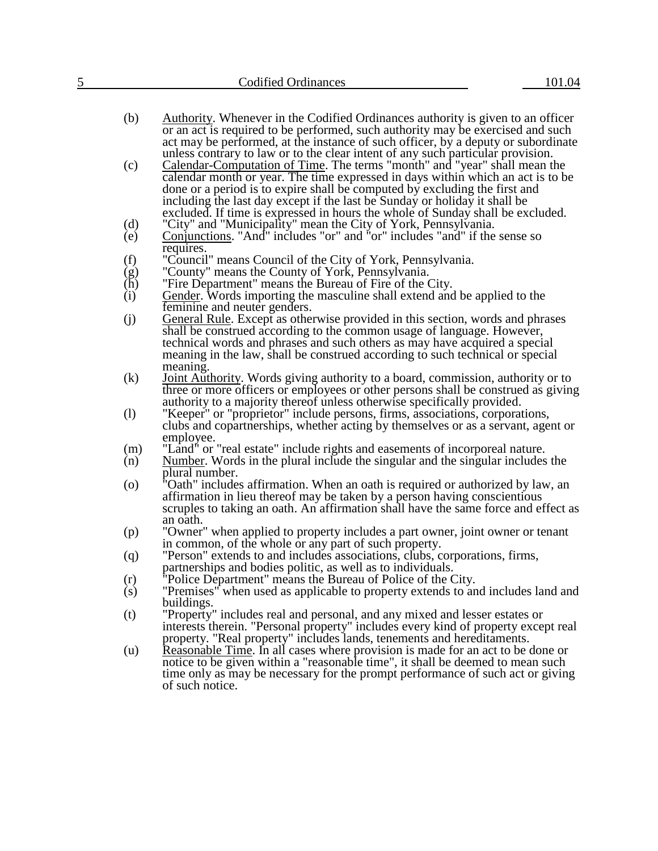| 5                            | <b>Codified Ordinances</b>                                                                                                                                                                                                                                                                                                                                                                                               | 101.04 |
|------------------------------|--------------------------------------------------------------------------------------------------------------------------------------------------------------------------------------------------------------------------------------------------------------------------------------------------------------------------------------------------------------------------------------------------------------------------|--------|
|                              |                                                                                                                                                                                                                                                                                                                                                                                                                          |        |
|                              | (b)<br>Authority. Whenever in the Codified Ordinances authority is given to an officer<br>or an act is required to be performed, such authority may be exercised and such<br>act may be performed, at the instance of such officer, by a deputy or subordinate<br>unless contrary to law or to the clear intent of any such particular provision.                                                                        |        |
|                              | <b>Calendar-Computation of Time.</b> The terms "month" and "year" shall mean the<br>(c)<br>calendar month or year. The time expressed in days within which an act is to be<br>done or a period is to expire shall be computed by excluding the first and<br>including the last day except if the last be Sunday or holiday it shall be<br>excluded. If time is expressed in hours the whole of Sunday shall be excluded. |        |
|                              | "City" and "Municipality" mean the City of York, Pennsylvania.<br>(d)<br>Conjunctions. "And" includes "or" and "or" includes "and" if the sense so<br>(e)                                                                                                                                                                                                                                                                |        |
|                              | requires.                                                                                                                                                                                                                                                                                                                                                                                                                |        |
|                              | (f)<br>"Council" means Council of the City of York, Pennsylvania.                                                                                                                                                                                                                                                                                                                                                        |        |
|                              | $\begin{pmatrix} g \\ h \end{pmatrix}$<br>"County" means the County of York, Pennsylvania.<br>"Fire Department" means the Bureau of Fire of the City.                                                                                                                                                                                                                                                                    |        |
|                              | (i)<br>Gender. Words importing the masculine shall extend and be applied to the                                                                                                                                                                                                                                                                                                                                          |        |
|                              | feminine and neuter genders.                                                                                                                                                                                                                                                                                                                                                                                             |        |
| (j)                          | <b>General Rule.</b> Except as otherwise provided in this section, words and phrases<br>shall be construed according to the common usage of language. However,<br>technical words and phrases and such others as may have acquired a special                                                                                                                                                                             |        |
|                              | meaning in the law, shall be construed according to such technical or special                                                                                                                                                                                                                                                                                                                                            |        |
|                              | meaning.                                                                                                                                                                                                                                                                                                                                                                                                                 |        |
|                              | (k)<br><b>Joint Authority.</b> Words giving authority to a board, commission, authority or to<br>three or more officers or employees or other persons shall be construed as giving<br>authority to a majority thereof unless otherwise specifically provided.                                                                                                                                                            |        |
| $\left( \frac{1}{2} \right)$ | "Keeper" or "proprietor" include persons, firms, associations, corporations,<br>clubs and copartnerships, whether acting by themselves or as a servant, agent or<br>employee.                                                                                                                                                                                                                                            |        |
|                              | "Land" or "real estate" include rights and easements of incorporeal nature.<br>(m)                                                                                                                                                                                                                                                                                                                                       |        |
|                              | Number. Words in the plural include the singular and the singular includes the<br>(n)<br>plural number.                                                                                                                                                                                                                                                                                                                  |        |
|                              | 'Oath'' includes affirmation. When an oath is required or authorized by law, an<br>$\left( 0 \right)$<br>affirmation in lieu thereof may be taken by a person having conscientious<br>scruples to taking an oath. An affirmation shall have the same force and effect as<br>an oath.                                                                                                                                     |        |
|                              | "Owner" when applied to property includes a part owner, joint owner or tenant<br>(p)<br>in common, of the whole or any part of such property.                                                                                                                                                                                                                                                                            |        |
|                              | "Person" extends to and includes associations, clubs, corporations, firms,<br>(q)<br>partnerships and bodies politic, as well as to individuals.                                                                                                                                                                                                                                                                         |        |
|                              | "Police Department" means the Bureau of Police of the City.<br>(r)<br>"Premises" when used as applicable to property extends to and includes land and<br>(s)<br>buildings.                                                                                                                                                                                                                                               |        |
| (t)                          | "Property" includes real and personal, and any mixed and lesser estates or<br>interests therein. "Personal property" includes every kind of property except real<br>property. "Real property" includes lands, tenements and hereditaments.                                                                                                                                                                               |        |
|                              | Reasonable Time. In all cases where provision is made for an act to be done or<br>(u)<br>notice to be given within a "reasonable time", it shall be deemed to mean such<br>time only as may be necessary for the prompt performance of such act or giving<br>of such notice.                                                                                                                                             |        |
|                              |                                                                                                                                                                                                                                                                                                                                                                                                                          |        |
|                              |                                                                                                                                                                                                                                                                                                                                                                                                                          |        |
|                              |                                                                                                                                                                                                                                                                                                                                                                                                                          |        |
|                              |                                                                                                                                                                                                                                                                                                                                                                                                                          |        |
|                              |                                                                                                                                                                                                                                                                                                                                                                                                                          |        |
|                              |                                                                                                                                                                                                                                                                                                                                                                                                                          |        |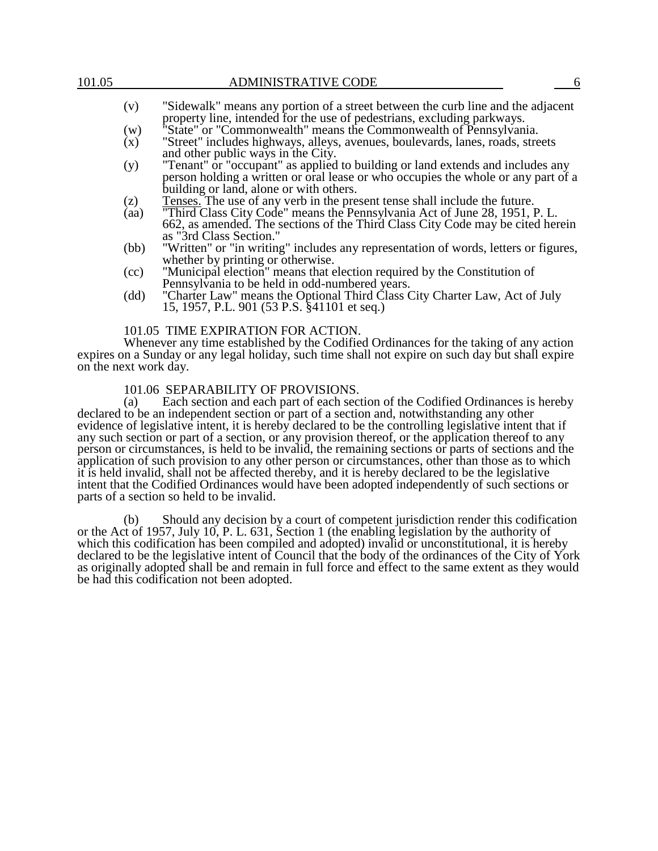- (v) "Sidewalk" means any portion of a street between the curb line and the adjacent property line, intended for the use of pedestrians, excluding parkways.
- (w) "State" or "Commonwealth" means the Commonwealth of Pennsylvania.
- (x) "Street" includes highways, alleys, avenues, boulevards, lanes, roads, streets and other public ways in the City.
- (y) "Tenant" or "occupant" as applied to building or land extends and includes any person holding a written or oral lease or who occupies the whole or any part of a building or land, alone or with others.
- $(z)$  Tenses. The use of any verb in the present tense shall include the future.
- (aa) "Third Class City Code" means the Pennsylvania Act of June 28, 1951, P. L. 662, as amended. The sections of the Third Class City Code may be cited herein as "3rd Class Section."
- (bb) "Written" or "in writing" includes any representation of words, letters or figures, whether by printing or otherwise.
- (cc) "Municipal election" means that election required by the Constitution of Pennsylvania to be held in odd-numbered years.
- (dd) "Charter Law" means the Optional Third Class City Charter Law, Act of July 15, 1957, P.L. 901 (53 P.S. §41101 et seq.)

#### 101.05 TIME EXPIRATION FOR ACTION.

Whenever any time established by the Codified Ordinances for the taking of any action expires on a Sunday or any legal holiday, such time shall not expire on such day but shall expire on the next work day.

# 101.06 SEPARABILITY OF PROVISIONS.

(a) Each section and each part of each section of the Codified Ordinances is hereby declared to be an independent section or part of a section and, notwithstanding any other evidence of legislative intent, it is hereby declared to be the controlling legislative intent that if any such section or part of a section, or any provision thereof, or the application thereof to any person or circumstances, is held to be invalid, the remaining sections or parts of sections and the application of such provision to any other person or circumstances, other than those as to which it is held invalid, shall not be affected thereby, and it is hereby declared to be the legislative intent that the Codified Ordinances would have been adopted independently of such sections or parts of a section so held to be invalid.

(b) Should any decision by a court of competent jurisdiction render this codification or the Act of 1957, July 10, P. L. 631, Section 1 (the enabling legislation by the authority of which this codification has been compiled and adopted) invalid or unconstitutional, it is hereby declared to be the legislative intent of Council that the body of the ordinances of the City of York as originally adopted shall be and remain in full force and effect to the same extent as they would be had this codification not been adopted.